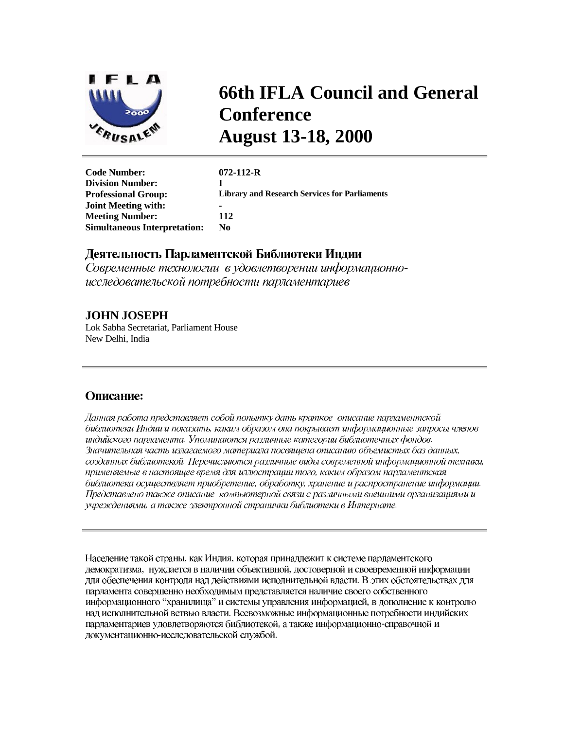

# **66th IFLA Council and General Conference August 13-18, 2000**

| <b>Code Number:</b>                 | $072 - 112 - R$                                      |
|-------------------------------------|------------------------------------------------------|
| <b>Division Number:</b>             |                                                      |
| <b>Professional Group:</b>          | <b>Library and Research Services for Parliaments</b> |
| <b>Joint Meeting with:</b>          |                                                      |
| <b>Meeting Number:</b>              | 112                                                  |
| <b>Simultaneous Interpretation:</b> | N0                                                   |
|                                     |                                                      |

# Деятельность Парламентской Библиотеки Индии

Современные технологии в удовлетворении информационноисследовательской потребности парламентариев

# **JOHN JOSEPH**

Lok Sabha Secretariat, Parliament House New Delhi, India

# Описание:

Данная работа представляет собой попытку дать краткое-описание парламентской библиотеки Индии и показать, каким образом она покрывает информационные запросы членов индийского парламента. Упоминаются различные категории библиотечных фондов. Значительная часть излагаемого материала посвящена описанию объемистых баз данных, созданных библиотекой. Перечисляются различные виды современной информационной техники, применяемые в настоящее время для иллюстрации того, каким образом парламентская библиотека осуществляет приобретение, обработку, хранение и распространение информации. Представлено также описание компьютерной связи с различными внешними организациями и учреждениями, а также электронной странички библиотеки в Интернате.

Население такой страны, как Индия, которая принадлежит к системе парламентского демократизма, нуждается в наличии объективной, достоверной и своевременной информации для обеспечения контроля над действиями исполнительной власти. В этих обстоятельствах для парламента совершенно необходимым представляется наличие своего собственного информационного "хранилища" и системы управления информацией, в дополнение к контролю над исполнительной ветвью власти. Всевозможные информационные потребности индийских парламентариев удовлетворяются библиотекой, а также информационно-справочной и документационно-исследовательской службой.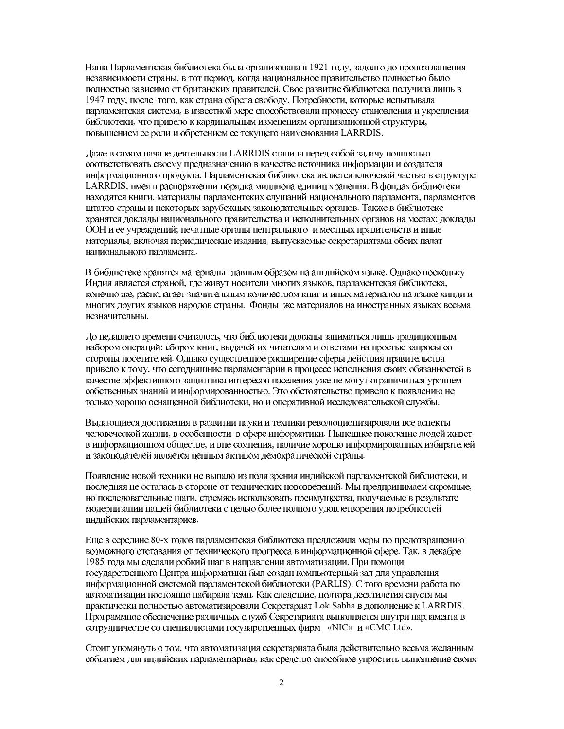Наша Парламентская библиотека была организована в 1921 году, задолго до провозглашения независимости страны, в тот период, когда национальное правительство полностью было полностью зависимо от британских правителей. Свое развитие библиотека получила лишь в 1947 году, после того, как страна обрела свободу. Потребности, которые испытывала парламентская система, в известной мере способствовали процессу становления и укрепления библиотеки, что привело к кардинальным изменениям организационной структуры, повышением ее роли и обретением ее текущего наименования LARRDIS.

Даже в самом начале деятельности LARRDIS ставила перед собой задачу полностью соответствовать своему предназначению в качестве источника информации и создателя информационного продукта. Парламентская библиотека является ключевой частью в структуре LARRDIS, имея в распоряжении порядка миллиона единиц хранения. В фондах библиотеки находятся книги, материалы парламентских слушаний национального парламента, парламентов штатов страны и некоторых зарубежных законодательных органов. Также в библиотеке хранятся доклады национального правительства и исполнительных органов на местах; доклады ООН и ее учреждений; печатные органы центрального и местных правительств и иные материалы, включая периодические издания, выпускаемые секретариатами обеих палат национального парламента.

В библиотеке хранятся материалы главным образом на английском языке. Однако поскольку Индия является страной, где живут носители многих языков, парламентская библиотека, конечно же, располагает значительным количеством книг и иных материалов на языке хинди и многих других языков народов страны. Фонды же материалов на иностранных языках весьма незначительны.

До недавнего времени считалось, что библиотеки должны заниматься лишь традиционным набором операций: сбором книг, выдачей их читателям и ответами на простые запросы со стороны посетителей. Однако существенное расширение сферы действия правительства привело к тому, что сегодняшние парламентарии в процессе исполнения своих обязанностей в качестве эффективного защитника интересов населения уже не могут ограничиться уровнем собственных знаний и информированностью. Это обстоятельство привело к появлению не только хорошо оснащенной библиотеки, но и оперативной исследовательской службы.

Выдающиеся достижения в развитии науки и техники революционизировали все аспекты человеческой жизни, в особенности в сфере информатики. Нынешнее поколение людей живет в информационном обществе, и вне сомнения, наличие хорошо информированных избирателей и законодателей является ценным активом демократической страны.

Появление новой техники не выпало из поля зрения индийской парламентской библиотеки, и последняя не осталась в стороне от технических нововведений. Мы предпринимаем скромные, но последовательные шаги, стремясь использовать преимущества, получаемые в результате модернизации нашей библиотеки с целью более полного удовлетворения потребностей индийских парламентариев.

Еще в середине 80-х годов парламентская библиотека предложила меры по предотвращению возможного отставания от технического прогресса в информационной сфере. Так, в декабре 1985 года мы сделали робкий шаг в направлении автоматизации. При помощи государственного Центра информатики был создан компьютерный зал для управления информационной системой парламентской библиотеки (PARLIS). С того времени работа по автоматизации постоянно набирала темп. Как следствие, полтора десятилетия спустя мы практически полностью автоматизировали Секретариат Lok Sabha в дополнение к LARRDIS. Программное обеспечение различных служб Секретариата выполняется внутри парламента в сотрудничестве со специалистами государственных фирм «NIC» и «СМС Ltd».

Стоит упомянуть о том, что автоматизация секретариата была действительно весьма желанным событием для индийских парламентариев, как средство способное упростить выполнение своих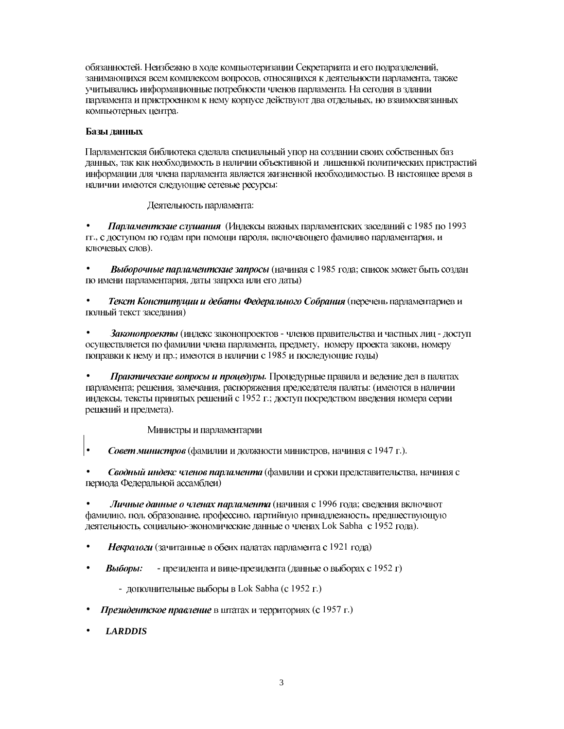обязанностей. Неизбежно в ходе компьютеризации Секретариата и его подразделений, занимающихся всем комплексом вопросов, относящихся к деятельности парламента, также учитывались информационные потребности членов парламента. На сегодня в здании парламента и пристроенном к нему корпусе действуют два отдельных, но взаимосвязанных компьютерных центра.

## Базы данных

Парламентская библиотека сделала специальный упор на создании своих собственных баз данных, так как необходимость в наличии объективной и лишенной политических пристрастий информации для члена парламента является жизненной необходимостью. В настоящее время в наличии имеются следующие сетевые ресурсы:

Деятельность парламента:

Парламентские слушания (Индексы важных парламентских заседаний с 1985 по 1993 гг., с доступом по годам при помощи пароля, включающего фамилию парламентария, и ключевых слов).

• Выборочные парламентские запросы (начиная с 1985 года; список может быть создан по имени парламентария, даты запроса или его даты)

Текст Конституции и дебаты Федерального Собрания (перечень парламентариев и полный текст заседания)

Законопроекты (индекс законопроектов - членов правительства и частных лиц - доступ осуществляется по фамилии члена парламента, предмету, номеру проекта закона, номеру поправки к нему и пр.; имеются в наличии с 1985 и последующие годы)

• Практические вопросы и проиедуры. Процедурные правила и ведение дел в палатах парламента; решения, замечания, распоряжения председателя палаты: (имеются в наличии индексы, тексты принятых решений с 1952 г.; доступ посредством введения номера серии решений и предмета).

Министры и парламентарии

Совет министров (фамилии и должности министров, начиная с 1947 г.).

Сводный индекс членов парламента (фамилии и сроки представительства, начиная с периода Федеральной ассамблеи)

Личные данные о членах парламента (начиная с 1996 года; сведения включают фамилию, пол, образование, профессию, партийную принадлежность, предшествующую деятельность, социально-экономические данные о членах Lok Sabha с 1952 года).

- Некрологи (зачитанные в обеих палатах парламента с 1921 года)
- *Выборы:* президента и вице-президента (данные о выборах с 1952 г)

- дополнительные выборы в Lok Sabha (с 1952 г.)

- Президентское правление в штатах и территориях (с 1957 г.)
- *LARDDIS*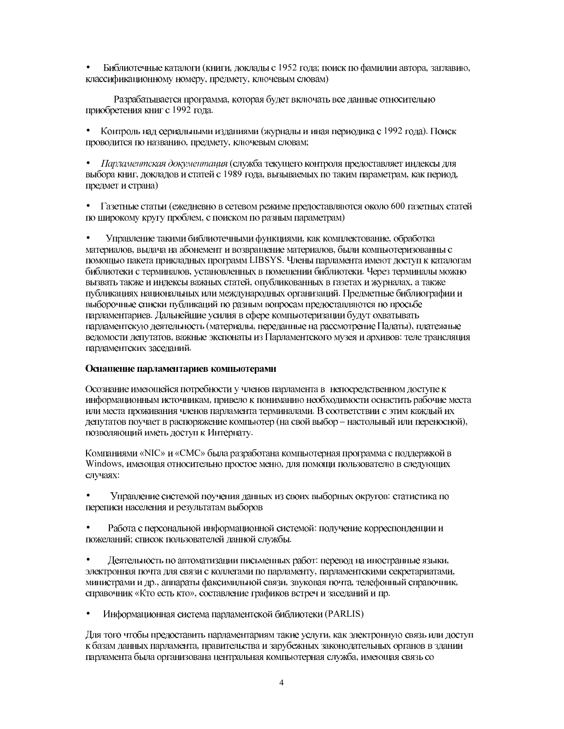Библиотечные каталоги (книги, доклады с 1952 года; поиск по фамилии автора, заглавию, классификационному номеру, предмету, ключевым словам)

Разрабатывается программа, которая будет включать все данные относительно приобретения книг с 1992 года.

• Контроль над сериальными изданиями (журналы и иная периодика с 1992 года). Поиск проводится по названию, предмету, ключевым словам;

• Парламентская документация (служба текущего контроля предоставляет индексы для выбора книг, докладов и статей с 1989 года, вызываемых по таким параметрам, как период, предмет и страна)

• Газетные статьи (ежедневно в сетевом режиме предоставляются около 600 газетных статей по широкому кругу проблем, с поиском по разным параметрам)

 $\bullet$ Управление такими библиотечными функциями, как комплектование, обработка материалов, выдача на абонемент и возвращение материалов, были компьютеризованны с помощью пакета прикладных программ LIBSYS. Члены парламента имеют доступ к каталогам библиотеки с терминалов, установленных в помещении библиотеки. Через терминалы можно вызвать также и индексы важных статей, опубликованных в газетах и журналах, а также публикациях национальных или международных организаций. Предметные библиографии и выборочные списки публикаций по разным вопросам предоставляются по просьбе парламентариев. Дальнейшие усилия в сфере компьютеризации будут охватывать парламентскую деятельность (материалы, переданные на рассмотрение Палаты), платежные ведомости депутатов, важные экспонаты из Парламентского музея и архивов: теле трансляция парламентских заседаний.

#### Оснащение парламентариев компьютерами

Осознание имеющейся потребности у членов парламента в непосредственном доступе к информационным источникам, привело к пониманию необходимости оснастить рабочие места или места проживания членов парламента терминалами. В соответствии с этим каждый их депутатов поучает в распоряжение компьютер (на свой выбор - настольный или переносной), позволяющий иметь доступ к Интернату.

Компаниями «NIC» и «СМС» была разработана компьютерная программа с поддержкой в Windows, имеющая относительно простое меню, для помощи пользователю в следующих случаях:

Управление системой поучения данных из своих выборных округов: статистика по переписи населения и результатам выборов

Работа с персональной информационной системой: получение корреспонденции и пожеланий; список пользователей данной службы.

Деятельность по автоматизации письменных работ: перевод на иностранные языки,  $\bullet$ электронная почта для связи с коллегами по парламенту, парламентскими секретариатами, министрами и др., аппараты факсимильной связи, звуковая почта, телефонный справочник, справочник «Кто есть кто», составление графиков встреч и заседаний и пр.

Информационная система парламентской библиотеки (PARLIS)

Для того чтобы предоставить парламентариям такие услуги, как электронную связь или доступ к базам данных парламента, правительства и зарубежных законодательных органов в здании парламента была организована центральная компьютерная служба, имеющая связь со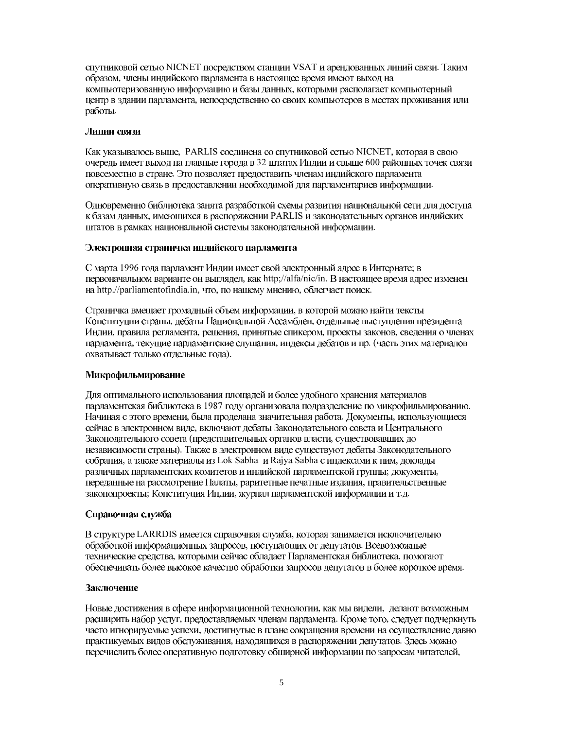спутниковой сетью NICNET посредством станции VSAT и арендованных линий связи. Таким образом, члены индийского парламента в настоящее время имеют выход на компьютеризованную информацию и базы данных, которыми располагает компьютерный центр в здании парламента, непосредственно со своих компьютеров в местах проживания или работы.

#### Линии связи

Как указывалось выше, PARLIS соединена со спутниковой сетью NICNET, которая в свою очередь имеет выход на главные города в 32 штатах Индии и свыше 600 районных точек связи повсеместно в стране. Это позволяет предоставить членам индийского парламента оперативную связь в предоставлении необходимой для парламентариев информации.

Одновременно библиотека занята разработкой схемы развития национальной сети для доступа к базам данных, имеющихся в распоряжении PARLIS и законодательных органов индийских штатов в рамках национальной системы законодательной информации.

#### Электронная страничка индийского парламента

С марта 1996 года парламент Индии имеет свой электронный адрес в Интернате; в первоначальном варианте он выглядел, как http://alfa/nic/in. В настоящее время адрес изменен на http.//parliamentofindia.in, что, по нашему мнению, облегчает поиск.

Страничка вмещает громадный объем информации, в которой можно найти тексты Конституции страны, дебаты Национальной Ассамблеи, отдельные выступления президента Индии, правила регламента, решения, принятые спикером, проекты законов, сведения о членах парламента, текущие парламентские слушания, индексы дебатов и пр. (часть этих материалов охватывает только отдельные года).

## Микрофильмирование

Для оптимального использования площадей и более удобного хранения материалов парламентская библиотека в 1987 году организовала подразделение по микрофильмированию. Начиная с этого времени, была проделана значительная работа. Документы, использующиеся сейчас в электронном виде, включают дебаты Законодательного совета и Центрального Законодательного совета (представительных органов власти, существовавших до независимости страны). Также в электронном виде существуют дебаты Законодательного собрания, а также материалы из Lok Sabha и Rajya Sabha с индексами к ним, доклады различных парламентских комитетов и индийской парламентской группы; документы, переданные на рассмотрение Палаты, раритетные печатные издания, правительственные законопроекты; Конституция Индии, журнал парламентской информации и т.д.

## Справочная служба

В структуре LARRDIS имеется справочная служба, которая занимается исключительно обработкой информационных запросов, поступающих от депутатов. Всевозможные технические средства, которыми сейчас обладает Парламентская библиотека, помогают обеспечивать более высокое качество обработки запросов депутатов в более короткое время.

## Заключение

Новые достижения в сфере информационной технологии, как мы видели, делают возможным расширить набор услуг, предоставляемых членам парламента. Кроме того, следует подчеркнуть часто игнорируемые успехи, достигнутые в плане сокращения времени на осуществление давно практикуемых видов обслуживания, находящихся в распоряжении депутатов. Здесь можно перечислить более оперативную подготовку обширной информации по запросам читателей,